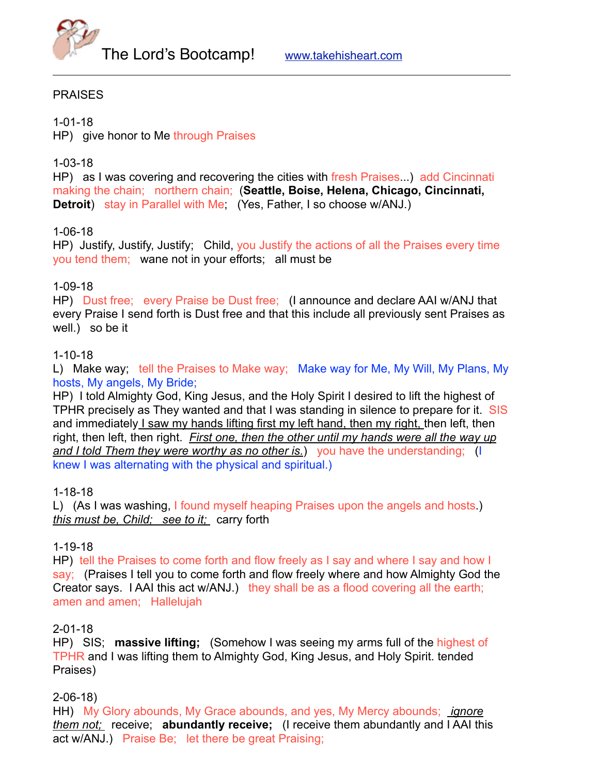

#### **PRAISES**

1-01-18 HP) give honor to Me through Praises

### 1-03-18

HP) as I was covering and recovering the cities with fresh Praises...) add Cincinnati making the chain; northern chain; (**Seattle, Boise, Helena, Chicago, Cincinnati, Detroit**) stay in Parallel with Me; (Yes, Father, I so choose w/ANJ.)

#### 1-06-18

HP) Justify, Justify, Justify; Child, you Justify the actions of all the Praises every time you tend them; wane not in your efforts; all must be

#### 1-09-18

HP) Dust free; every Praise be Dust free; (I announce and declare AAI w/ANJ that every Praise I send forth is Dust free and that this include all previously sent Praises as well.) so be it

#### 1-10-18

L) Make way; tell the Praises to Make way; Make way for Me, My Will, My Plans, My hosts, My angels, My Bride;

HP) I told Almighty God, King Jesus, and the Holy Spirit I desired to lift the highest of TPHR precisely as They wanted and that I was standing in silence to prepare for it. SIS and immediately I saw my hands lifting first my left hand, then my right, then left, then right, then left, then right. *First one, then the other until my hands were all the way up and I told Them they were worthy as no other is.*) you have the understanding; (I knew I was alternating with the physical and spiritual.)

1-18-18

L) (As I was washing, I found myself heaping Praises upon the angels and hosts.) *this must be, Child; see to it;* carry forth

# 1-19-18

HP) tell the Praises to come forth and flow freely as I say and where I say and how I say; (Praises I tell you to come forth and flow freely where and how Almighty God the Creator says. I AAI this act w/ANJ.) they shall be as a flood covering all the earth; amen and amen; Hallelujah

#### 2-01-18

HP) SIS; **massive lifting;** (Somehow I was seeing my arms full of the highest of TPHR and I was lifting them to Almighty God, King Jesus, and Holy Spirit. tended Praises)

2-06-18)

HH) My Glory abounds, My Grace abounds, and yes, My Mercy abounds; *ignore them not;* receive; **abundantly receive;** (I receive them abundantly and I AAI this act w/ANJ.) Praise Be; let there be great Praising;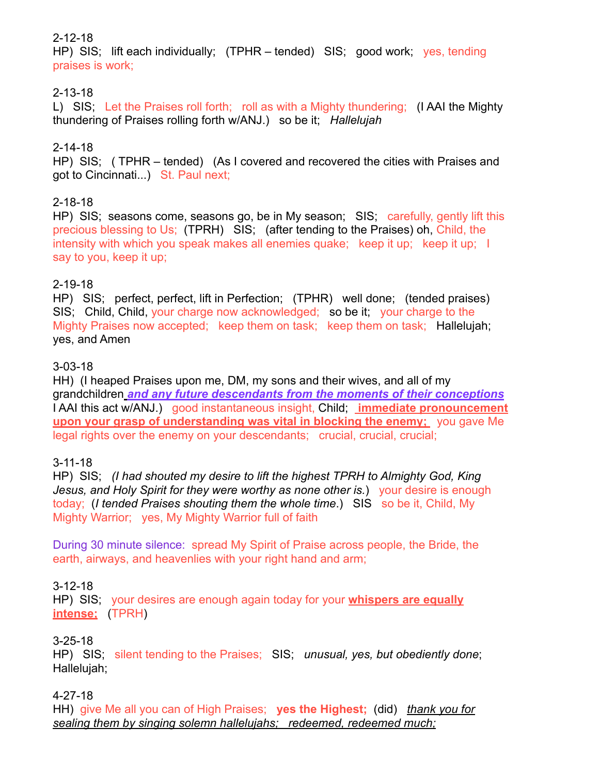# 2-12-18

HP) SIS; lift each individually; (TPHR – tended) SIS; good work; yes, tending praises is work;

# 2-13-18

L) SIS; Let the Praises roll forth; roll as with a Mighty thundering; (I AAI the Mighty thundering of Praises rolling forth w/ANJ.) so be it; *Hallelujah*

# 2-14-18

HP) SIS; ( TPHR – tended) (As I covered and recovered the cities with Praises and got to Cincinnati...) St. Paul next;

# 2-18-18

HP) SIS; seasons come, seasons go, be in My season; SIS; carefully, gently lift this precious blessing to Us; (TPRH) SIS; (after tending to the Praises) oh, Child, the intensity with which you speak makes all enemies quake; keep it up; keep it up; I say to you, keep it up;

# 2-19-18

HP) SIS; perfect, perfect, lift in Perfection; (TPHR) well done; (tended praises) SIS; Child, Child, your charge now acknowledged; so be it; your charge to the Mighty Praises now accepted; keep them on task; keep them on task; Hallelujah; yes, and Amen

# 3-03-18

HH) (I heaped Praises upon me, DM, my sons and their wives, and all of my grandchildren *and any future descendants from the moments of their conceptions* I AAI this act w/ANJ.) good instantaneous insight, Child; **immediate pronouncement upon your grasp of understanding was vital in blocking the enemy;** you gave Me legal rights over the enemy on your descendants; crucial, crucial, crucial;

# 3-11-18

HP) SIS; *(I had shouted my desire to lift the highest TPRH to Almighty God, King Jesus, and Holy Spirit for they were worthy as none other is.*) your desire is enough today; (*I tended Praises shouting them the whole time*.) SIS so be it, Child, My Mighty Warrior; yes, My Mighty Warrior full of faith

During 30 minute silence: spread My Spirit of Praise across people, the Bride, the earth, airways, and heavenlies with your right hand and arm;

# 3-12-18

HP) SIS; your desires are enough again today for your **whispers are equally intense;** (TPRH)

# 3-25-18

HP) SIS; silent tending to the Praises; SIS; *unusual, yes, but obediently done*; Hallelujah;

#### 4-27-18

HH) give Me all you can of High Praises; **yes the Highest;** (did) *thank you for sealing them by singing solemn hallelujahs; redeemed, redeemed much;*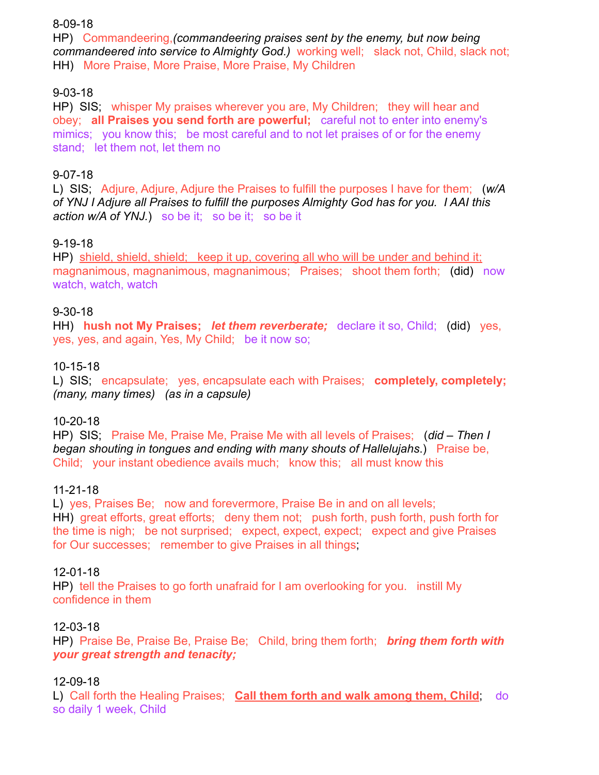#### 8-09-18

HP) Commandeering,*(commandeering praises sent by the enemy, but now being commandeered into service to Almighty God.)* working well; slack not, Child, slack not; HH) More Praise, More Praise, More Praise, My Children

# 9-03-18

HP) SIS; whisper My praises wherever you are, My Children; they will hear and obey; **all Praises you send forth are powerful;** careful not to enter into enemy's mimics; you know this; be most careful and to not let praises of or for the enemy stand; let them not, let them no

# 9-07-18

L) SIS; Adjure, Adjure, Adjure the Praises to fulfill the purposes I have for them; (*w/A of YNJ I Adjure all Praises to fulfill the purposes Almighty God has for you. I AAI this action w/A of YNJ.*) so be it; so be it; so be it

# 9-19-18

HP) shield, shield, shield; keep it up, covering all who will be under and behind it; magnanimous, magnanimous, magnanimous; Praises; shoot them forth; (did) now watch, watch, watch

# 9-30-18

HH) **hush not My Praises;** *let them reverberate;* declare it so, Child; (did) yes, yes, yes, and again, Yes, My Child; be it now so;

# 10-15-18

L) SIS; encapsulate; yes, encapsulate each with Praises; **completely, completely;**  *(many, many times) (as in a capsule)*

# 10-20-18

HP) SIS; Praise Me, Praise Me, Praise Me with all levels of Praises; (*did – Then I began shouting in tongues and ending with many shouts of Hallelujahs*.) Praise be, Child; your instant obedience avails much; know this; all must know this

# 11-21-18

L) yes, Praises Be; now and forevermore, Praise Be in and on all levels; HH) great efforts, great efforts; deny them not; push forth, push forth, push forth for the time is nigh; be not surprised; expect, expect, expect; expect and give Praises for Our successes; remember to give Praises in all things.

# 12-01-18

HP) tell the Praises to go forth unafraid for I am overlooking for you. instill My confidence in them

# 12-03-18

HP) Praise Be, Praise Be, Praise Be; Child, bring them forth; *bring them forth with your great strength and tenacity;* 

# 12-09-18

L) Call forth the Healing Praises; **Call them forth and walk among them, Child**; do so daily 1 week, Child